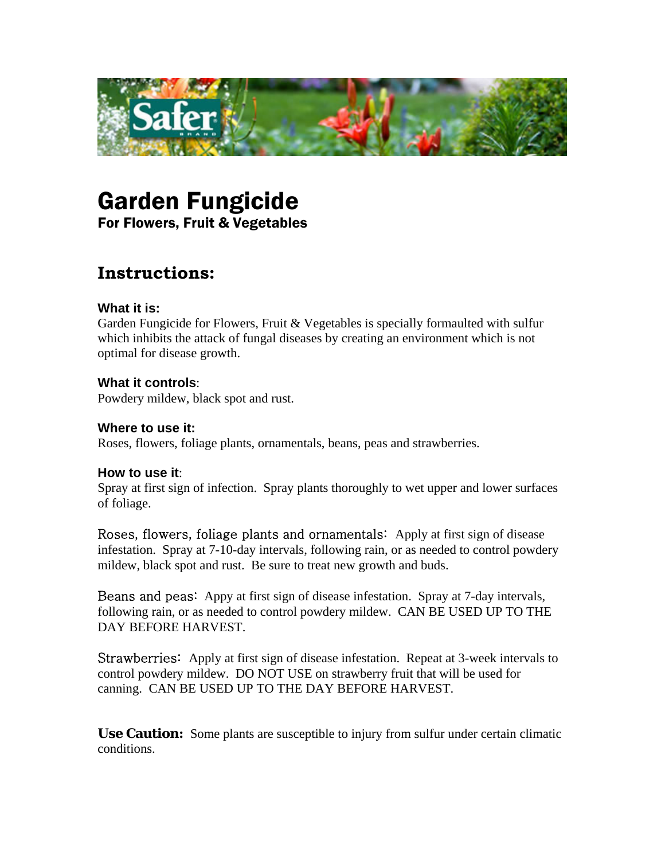

# Garden Fungicide

For Flowers, Fruit & Vegetables

# **Instructions:**

## **What it is:**

Garden Fungicide for Flowers, Fruit & Vegetables is specially formaulted with sulfur which inhibits the attack of fungal diseases by creating an environment which is not optimal for disease growth.

## **What it controls**:

Powdery mildew, black spot and rust.

## **Where to use it:**

Roses, flowers, foliage plants, ornamentals, beans, peas and strawberries.

#### **How to use it**:

Spray at first sign of infection. Spray plants thoroughly to wet upper and lower surfaces of foliage.

Roses, flowers, foliage plants and ornamentals: Apply at first sign of disease infestation. Spray at 7-10-day intervals, following rain, or as needed to control powdery mildew, black spot and rust. Be sure to treat new growth and buds.

Beans and peas: Appy at first sign of disease infestation. Spray at 7-day intervals, following rain, or as needed to control powdery mildew. CAN BE USED UP TO THE DAY BEFORE HARVEST.

Strawberries: Apply at first sign of disease infestation. Repeat at 3-week intervals to control powdery mildew. DO NOT USE on strawberry fruit that will be used for canning. CAN BE USED UP TO THE DAY BEFORE HARVEST.

**Use Caution:** Some plants are susceptible to injury from sulfur under certain climatic conditions.